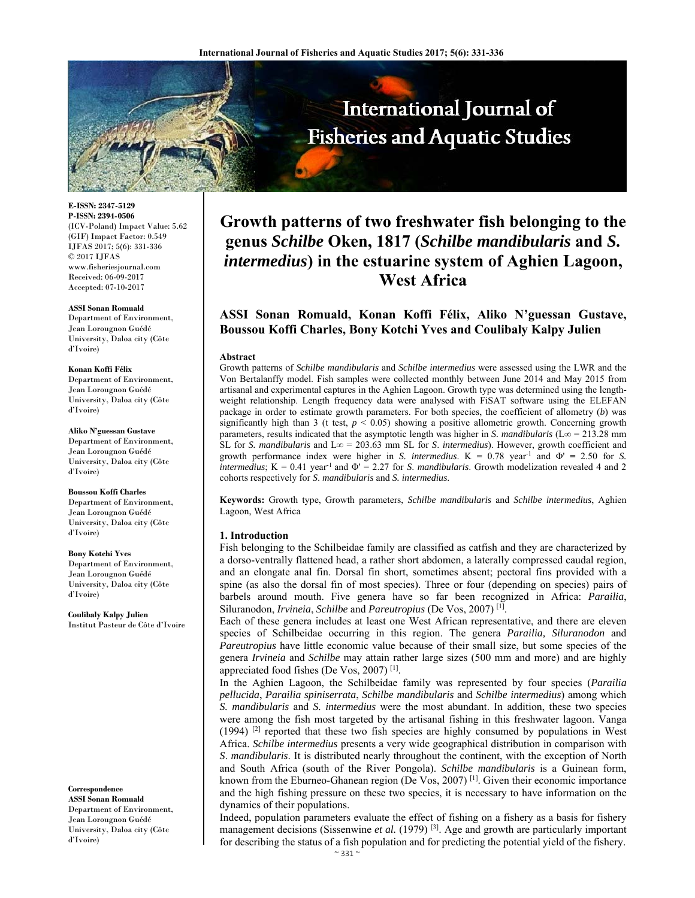

**E-ISSN: 2347-5129 P-ISSN: 2394-0506**  (ICV-Poland) Impact Value: 5.62 (GIF) Impact Factor: 0.549 IJFAS 2017; 5(6): 331-336  $\odot$  2017 IJFAS www.fisheriesjournal.com Received: 06-09-2017 Accepted: 07-10-2017

#### **ASSI Sonan Romuald**

Department of Environment, Jean Lorougnon Guédé University, Daloa city (Côte d'Ivoire)

#### **Konan Koffi Félix**

Department of Environment, Jean Lorougnon Guédé University, Daloa city (Côte d'Ivoire)

#### **Aliko N'guessan Gustave**

Department of Environment, Jean Lorougnon Guédé University, Daloa city (Côte d'Ivoire)

#### **Boussou Koffi Charles**

Department of Environment, Jean Lorougnon Guédé University, Daloa city (Côte d'Ivoire)

#### **Bony Kotchi Yves**

Department of Environment, Jean Lorougnon Guédé University, Daloa city (Côte d'Ivoire)

**Coulibaly Kalpy Julien**  Institut Pasteur de Côte d'Ivoire

**Correspondence** 

**ASSI Sonan Romuald**  Department of Environment, Jean Lorougnon Guédé University, Daloa city (Côte d'Ivoire)

# **Growth patterns of two freshwater fish belonging to the genus** *Schilbe* **Oken, 1817 (***Schilbe mandibularis* **and** *S. intermedius***) in the estuarine system of Aghien Lagoon, West Africa**

## **ASSI Sonan Romuald, Konan Koffi Félix, Aliko N'guessan Gustave, Boussou Koffi Charles, Bony Kotchi Yves and Coulibaly Kalpy Julien**

#### **Abstract**

Growth patterns of *Schilbe mandibularis* and *Schilbe intermedius* were assessed using the LWR and the Von Bertalanffy model. Fish samples were collected monthly between June 2014 and May 2015 from artisanal and experimental captures in the Aghien Lagoon. Growth type was determined using the lengthweight relationship. Length frequency data were analysed with FiSAT software using the ELEFAN package in order to estimate growth parameters. For both species, the coefficient of allometry (*b*) was significantly high than 3 (t test,  $p < 0.05$ ) showing a positive allometric growth. Concerning growth parameters, results indicated that the asymptotic length was higher in *S. mandibularis* ( $L\infty$  = 213.28 mm SL for *S. mandibularis* and L∞ = 203.63 mm SL for *S*. *intermedius*). However, growth coefficient and growth performance index were higher in *S. intermedius*. K = 0.78 year-1 and Φ' **=** 2.50 for *S. intermedius*;  $K = 0.41$  year<sup>-1</sup> and  $\Phi' = 2.27$  for *S. mandibularis*. Growth modelization revealed 4 and 2 cohorts respectively for *S*. *mandibularis* and *S. intermedius*.

**Keywords:** Growth type, Growth parameters, *Schilbe mandibularis* and *Schilbe intermedius*, Aghien Lagoon, West Africa

#### **1. Introduction**

Fish belonging to the Schilbeidae family are classified as catfish and they are characterized by a dorso-ventrally flattened head, a rather short abdomen, a laterally compressed caudal region, and an elongate anal fin. Dorsal fin short, sometimes absent; pectoral fins provided with a spine (as also the dorsal fin of most species). Three or four (depending on species) pairs of barbels around mouth. Five genera have so far been recognized in Africa: *Parailia*, Siluranodon, *Irvineia*, *Schilbe* and *Pareutropius* (De Vos, 2007) [1].

Each of these genera includes at least one West African representative, and there are eleven species of Schilbeidae occurring in this region. The genera *Parailia, Siluranodon* and *Pareutropius* have little economic value because of their small size, but some species of the genera *Irvineia* and *Schilbe* may attain rather large sizes (500 mm and more) and are highly appreciated food fishes (De Vos, 2007) [1].

In the Aghien Lagoon, the Schilbeidae family was represented by four species (*Parailia pellucida*, *Parailia spiniserrata*, *Schilbe mandibularis* and *Schilbe intermedius*) among which *S. mandibularis* and *S. intermedius* were the most abundant. In addition, these two species were among the fish most targeted by the artisanal fishing in this freshwater lagoon. Vanga  $(1994)$  <sup>[2]</sup> reported that these two fish species are highly consumed by populations in West Africa. *Schilbe intermedius* presents a very wide geographical distribution in comparison with *S*. *mandibularis*. It is distributed nearly throughout the continent, with the exception of North and South Africa (south of the River Pongola). *Schilbe mandibularis* is a Guinean form, known from the Eburneo-Ghanean region (De Vos, 2007)<sup>[1]</sup>. Given their economic importance and the high fishing pressure on these two species, it is necessary to have information on the dynamics of their populations.

Indeed, population parameters evaluate the effect of fishing on a fishery as a basis for fishery management decisions (Sissenwine *et al.* (1979)<sup>[3]</sup>. Age and growth are particularly important for describing the status of a fish population and for predicting the potential yield of the fishery.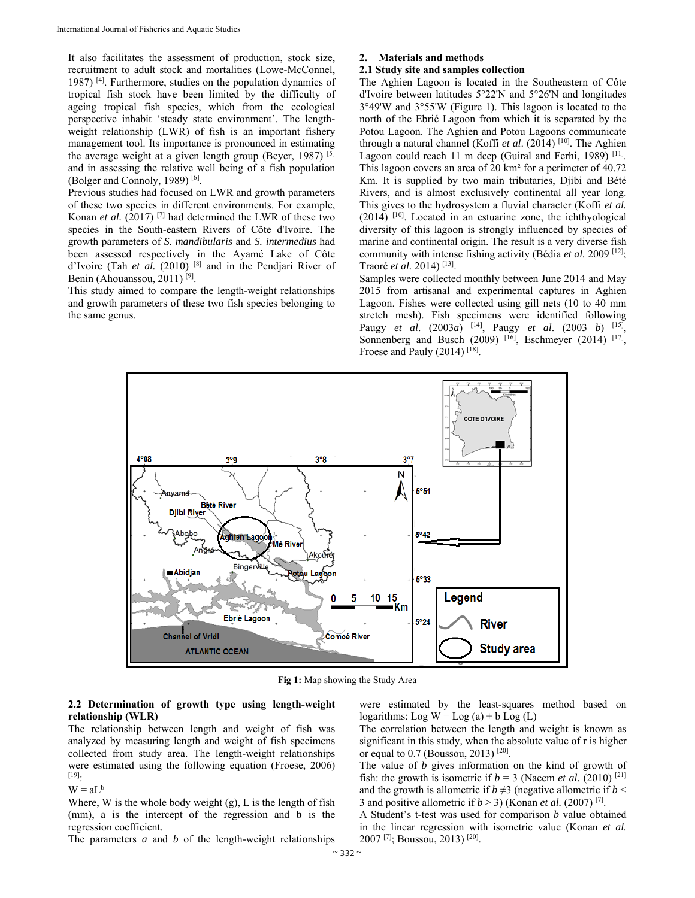It also facilitates the assessment of production, stock size, recruitment to adult stock and mortalities (Lowe-McConnel, 1987) [4]. Furthermore, studies on the population dynamics of tropical fish stock have been limited by the difficulty of ageing tropical fish species, which from the ecological perspective inhabit 'steady state environment'. The lengthweight relationship (LWR) of fish is an important fishery management tool. Its importance is pronounced in estimating the average weight at a given length group (Beyer, 1987)  $[5]$ and in assessing the relative well being of a fish population (Bolger and Connoly, 1989) [6].

Previous studies had focused on LWR and growth parameters of these two species in different environments. For example, Konan *et al.* (2017)<sup>[7]</sup> had determined the LWR of these two species in the South-eastern Rivers of Côte d'Ivoire. The growth parameters of *S. mandibularis* and *S. intermedius* had been assessed respectively in the Ayamé Lake of Côte d'Ivoire (Tah *et al.* (2010) [8] and in the Pendjari River of Benin (Ahouanssou, 2011) [9].

This study aimed to compare the length-weight relationships and growth parameters of these two fish species belonging to the same genus.

## **2. Materials and methods**

#### **2.1 Study site and samples collection**

The Aghien Lagoon is located in the Southeastern of Côte d'Ivoire between latitudes 5°22'N and 5°26'N and longitudes 3°49'W and 3°55'W (Figure 1). This lagoon is located to the north of the Ebrié Lagoon from which it is separated by the Potou Lagoon. The Aghien and Potou Lagoons communicate through a natural channel (Koffi *et al*. (2014) [10]. The Aghien Lagoon could reach 11 m deep (Guiral and Ferhi, 1989) <sup>[11]</sup>. This lagoon covers an area of 20 km² for a perimeter of 40.72 Km. It is supplied by two main tributaries, Djibi and Bété Rivers, and is almost exclusively continental all year long. This gives to the hydrosystem a fluvial character (Koffi *et al.* (2014) [10]. Located in an estuarine zone, the ichthyological diversity of this lagoon is strongly influenced by species of marine and continental origin. The result is a very diverse fish community with intense fishing activity (Bédia *et al.* 2009 [12]; Traoré *et al.* 2014) [13].

Samples were collected monthly between June 2014 and May 2015 from artisanal and experimental captures in Aghien Lagoon. Fishes were collected using gill nets (10 to 40 mm stretch mesh). Fish specimens were identified following Paugy *et al*. (2003*a*) [14], Paugy *et al*. (2003 *b*) [15], Sonnenberg and Busch (2009) <sup>[16]</sup>, Eschmeyer (2014) <sup>[17]</sup>, Froese and Pauly (2014)<sup>[18]</sup>.



**Fig 1:** Map showing the Study Area

## **2.2 Determination of growth type using length-weight relationship (WLR)**

The relationship between length and weight of fish was analyzed by measuring length and weight of fish specimens collected from study area. The length-weight relationships were estimated using the following equation (Froese, 2006) [19]:

 $W = aL^b$ 

Where, W is the whole body weight (g), L is the length of fish (mm), a is the intercept of the regression and **b** is the regression coefficient.

The parameters *a* and *b* of the length-weight relationships

were estimated by the least-squares method based on logarithms: Log  $W = Log(a) + b Log(L)$ 

The correlation between the length and weight is known as significant in this study, when the absolute value of r is higher or equal to 0.7 (Boussou, 2013)  $[20]$ .

The value of *b* gives information on the kind of growth of fish: the growth is isometric if  $b = 3$  (Naeem *et al.* (2010)<sup>[21]</sup> and the growth is allometric if  $b \neq 3$  (negative allometric if  $b <$ 3 and positive allometric if  $b > 3$ ) (Konan *et al.* (2007)<sup>[7]</sup>.

A Student's t-test was used for comparison *b* value obtained in the linear regression with isometric value (Konan *et al.* 2007 [7]; Boussou, 2013) [20].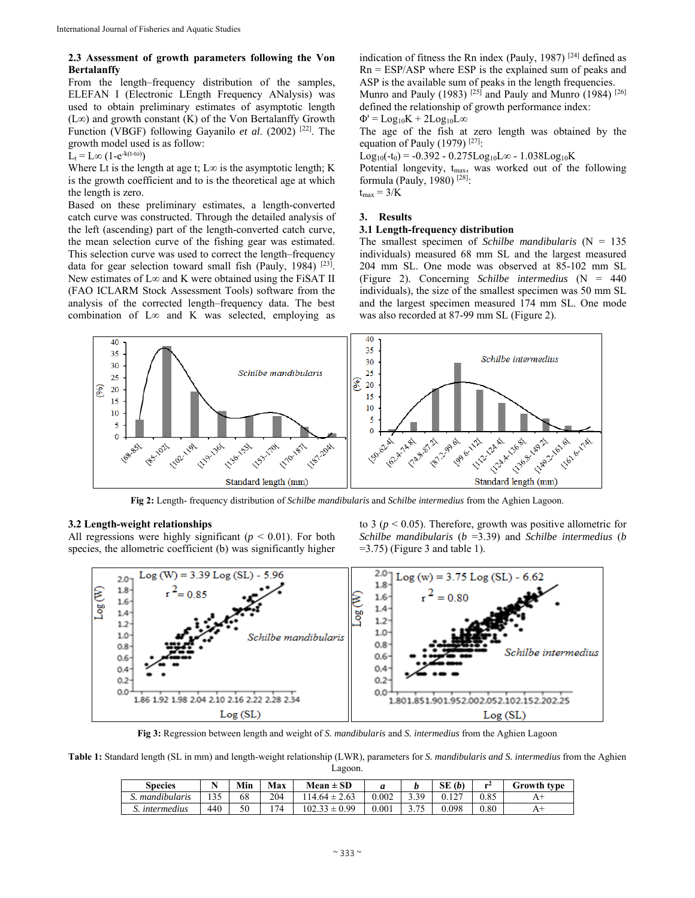## **2.3 Assessment of growth parameters following the Von Bertalanffy**

From the length–frequency distribution of the samples, ELEFAN I (Electronic LEngth Frequency ANalysis) was used to obtain preliminary estimates of asymptotic length (L∞) and growth constant (K) of the Von Bertalanffy Growth Function (VBGF) following Gayanilo *et al*. (2002) [22]. The growth model used is as follow:

 $L_t = L\infty$  (1-e<sup>-k(t-to)</sup>)

Where Lt is the length at age t;  $L\infty$  is the asymptotic length; K is the growth coefficient and to is the theoretical age at which the length is zero.

Based on these preliminary estimates, a length-converted catch curve was constructed. Through the detailed analysis of the left (ascending) part of the length-converted catch curve, the mean selection curve of the fishing gear was estimated. This selection curve was used to correct the length–frequency data for gear selection toward small fish (Pauly, 1984)  $[23]$ . New estimates of  $L\infty$  and K were obtained using the FiSAT II (FAO ICLARM Stock Assessment Tools) software from the analysis of the corrected length–frequency data. The best combination of L∞ and K was selected, employing as indication of fitness the Rn index (Pauly, 1987)  $[24]$  defined as  $Rn = ESP/ASP$  where  $ESP$  is the explained sum of peaks and ASP is the available sum of peaks in the length frequencies.

Munro and Pauly (1983)  $[25]$  and Pauly and Munro (1984)  $[26]$ defined the relationship of growth performance index:

 $\Phi' = Log_{10}K + 2Log_{10}L\infty$ 

The age of the fish at zero length was obtained by the equation of Pauly (1979)  $[27]$ :

Log<sub>10</sub>(-t<sub>0</sub>) = -0.392 - 0.275Log<sub>10</sub>L∞ - 1.038Log<sub>10</sub>K

Potential longevity, t<sub>max</sub>, was worked out of the following formula (Pauly, 1980) [28]:

 $t_{max} = 3/K$ 

#### **3. Results**

## **3.1 Length-frequency distribution**

The smallest specimen of *Schilbe mandibularis* (N = 135 individuals) measured 68 mm SL and the largest measured 204 mm SL. One mode was observed at 85-102 mm SL (Figure 2). Concerning *Schilbe intermedius* (N = 440 individuals), the size of the smallest specimen was 50 mm SL and the largest specimen measured 174 mm SL. One mode was also recorded at 87-99 mm SL (Figure 2).



**Fig 2:** Length- frequency distribution of *Schilbe mandibularis* and *Schilbe intermedius* from the Aghien Lagoon.

## **3.2 Length-weight relationships**

All regressions were highly significant ( $p < 0.01$ ). For both species, the allometric coefficient (b) was significantly higher to 3 (*p* < 0.05). Therefore, growth was positive allometric for *Schilbe mandibularis* (*b* =3.39) and *Schilbe intermedius* (*b*  $=$  3.75) (Figure 3 and table 1).



**Fig 3:** Regression between length and weight of *S. mandibularis* and *S. intermedius* from the Aghien Lagoon

**Table 1:** Standard length (SL in mm) and length-weight relationship (LWR), parameters for *S. mandibularis and S. intermedius* from the Aghien Lagoon.

| <b>Species</b>      | $\sim$ $\times$ | Min | Max | $Mean \pm SD$       |       |                 | SE(b)  | me 4 | Growth type |
|---------------------|-----------------|-----|-----|---------------------|-------|-----------------|--------|------|-------------|
| 1.1<br>mandibularis | 135             | 68  | 204 | 2.63<br>$14.64 \pm$ | 0.002 | 3 3 Q<br>ر ر. ر | $\sim$ | 0.85 | л           |
| intermedius         | 440             | 50  | 74  | -QQ<br>102.33       | 0.001 | 75<br>ں ، ، ب   | 0.098  | 0.80 | $\Delta$    |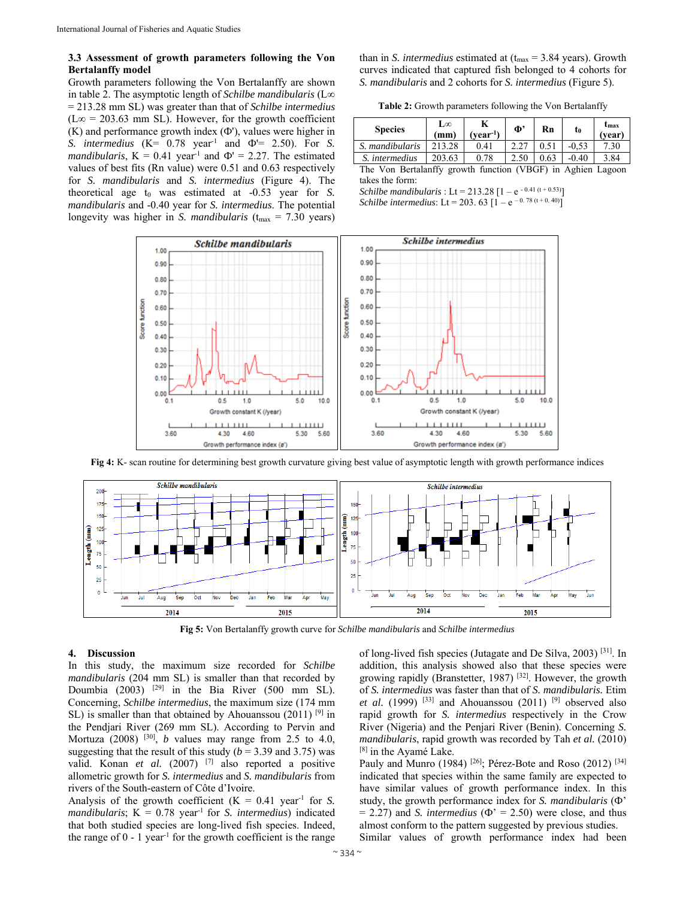## **3.3 Assessment of growth parameters following the Von Bertalanffy model**

Growth parameters following the Von Bertalanffy are shown in table 2. The asymptotic length of *Schilbe mandibularis* (L∞ = 213.28 mm SL) was greater than that of *Schilbe intermedius*   $(L\infty = 203.63$  mm SL). However, for the growth coefficient (K) and performance growth index (Ф'), values were higher in *S. intermedius* (K= 0.78 year-1 and Ф'= 2.50). For *S. mandibularis*,  $K = 0.41$  year<sup>-1</sup> and  $\Phi' = 2.27$ . The estimated values of best fits (Rn value) were 0.51 and 0.63 respectively for *S. mandibularis* and *S. intermedius* (Figure 4). The theoretical age  $t_0$  was estimated at  $-0.53$  year for *S*. *mandibularis* and -0.40 year for *S. intermedius*. The potential longevity was higher in *S. mandibularis* ( $t_{\text{max}} = 7.30$  years) than in *S. intermedius* estimated at  $(t_{max} = 3.84 \text{ years})$ . Growth curves indicated that captured fish belonged to 4 cohorts for *S. mandibularis* and 2 cohorts for *S. intermedius* (Figure 5).

**Table 2:** Growth parameters following the Von Bertalanffy

| <b>Species</b>  | L∞<br>(mm) | vear <sup>r</sup> | $\Phi$ | Rn | t <sub>0</sub> | Umax<br>vear   |
|-----------------|------------|-------------------|--------|----|----------------|----------------|
| S. mandibularis | 213.28     | 0.41              |        |    | $-0.53$        | $^{\prime}.30$ |
| S. intermedius  | 203.63     | 0.78              |        |    | $-0.40$        | 3.84           |

The Von Bertalanffy growth function (VBGF) in Aghien Lagoon takes the form:

*Schilbe mandibularis* : Lt = 213.28 [1 – e<sup>-0.41 (t + 0.53)</sup>] *Schilbe intermedius*: Lt = 203. 63  $[1 - e^{-0.78(t + 0.40)}]$ 





**Fig 4:** K- scan routine for determining best growth curvature giving best value of asymptotic length with growth performance indices

**Fig 5:** Von Bertalanffy growth curve for *Schilbe mandibularis* and *Schilbe intermedius*

## **4. Discussion**

In this study, the maximum size recorded for *Schilbe mandibularis* (204 mm SL) is smaller than that recorded by Doumbia (2003) [29] in the Bia River (500 mm SL). Concerning, *Schilbe intermedius*, the maximum size (174 mm SL) is smaller than that obtained by Ahouanssou  $(2011)$  [9] in the Pendjari River (269 mm SL). According to Pervin and Mortuza  $(2008)$ <sup>[30]</sup>, *b* values may range from 2.5 to 4.0, suggesting that the result of this study ( $b = 3.39$  and 3.75) was valid. Konan *et al.* (2007) [7] also reported a positive allometric growth for *S. intermedius* and *S. mandibularis* from rivers of the South-eastern of Côte d'Ivoire.

Analysis of the growth coefficient  $(K = 0.41 \text{ year}^{-1}$  for *S*. *mandibularis*;  $K = 0.78$  year<sup>1</sup> for *S. intermedius*) indicated that both studied species are long-lived fish species. Indeed, the range of  $0 - 1$  year<sup>-1</sup> for the growth coefficient is the range of long-lived fish species (Jutagate and De Silva, 2003) [31]. In addition, this analysis showed also that these species were growing rapidly (Branstetter, 1987) [32]. However, the growth of *S. intermedius* was faster than that of *S. mandibularis.* Etim *et al.* (1999) <sup>[33]</sup> and Ahouanssou (2011) <sup>[9]</sup> observed also rapid growth for *S. intermedius* respectively in the Crow River (Nigeria) and the Penjari River (Benin). Concerning *S. mandibularis*, rapid growth was recorded by Tah *et al.* (2010) <sup>[8]</sup> in the Ayamé Lake.

Pauly and Munro (1984) <sup>[26]</sup>; Pérez-Bote and Roso (2012) <sup>[34]</sup> indicated that species within the same family are expected to have similar values of growth performance index. In this study, the growth performance index for *S. mandibularis* (Ф'  $= 2.27$ ) and *S. intermedius* ( $\Phi$ <sup> $\cdot$ </sup> = 2.50) were close, and thus almost conform to the pattern suggested by previous studies. Similar values of growth performance index had been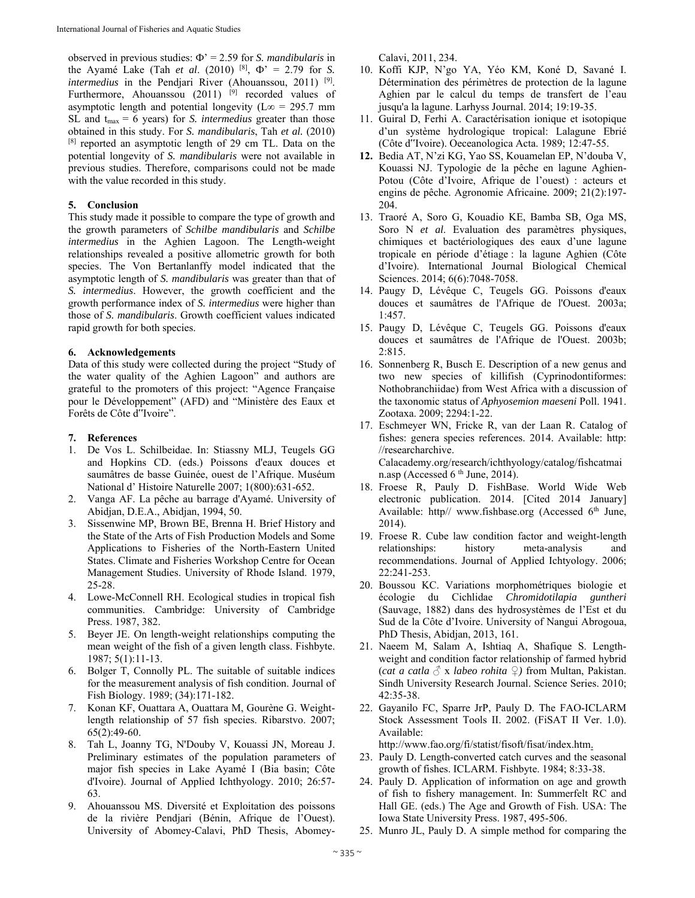observed in previous studies: Ф' = 2.59 for *S. mandibularis* in the Ayamé Lake (Tah *et al.* (2010) <sup>[8]</sup>,  $\Phi' = 2.79$  for *S. intermedius* in the Pendjari River (Ahouanssou, 2011) <sup>[9]</sup>. Furthermore, Ahouanssou (2011)  $^{[9]}$  recorded values of asymptotic length and potential longevity ( $\text{L}\infty = 295.7 \text{ mm}$ ) SL and  $t_{max} = 6$  years) for *S. intermedius* greater than those obtained in this study. For *S. mandibularis*, Tah *et al.* (2010) [8] reported an asymptotic length of 29 cm TL. Data on the potential longevity of *S. mandibularis* were not available in previous studies. Therefore, comparisons could not be made with the value recorded in this study.

## **5. Conclusion**

This study made it possible to compare the type of growth and the growth parameters of *Schilbe mandibularis* and *Schilbe intermedius* in the Aghien Lagoon. The Length-weight relationships revealed a positive allometric growth for both species. The Von Bertanlanffy model indicated that the asymptotic length of *S. mandibularis* was greater than that of *S. intermedius*. However, the growth coefficient and the growth performance index of *S. intermedius* were higher than those of *S. mandibularis*. Growth coefficient values indicated rapid growth for both species.

## **6. Acknowledgements**

Data of this study were collected during the project "Study of the water quality of the Aghien Lagoon" and authors are grateful to the promoters of this project: "Agence Française pour le Développement" (AFD) and "Ministère des Eaux et Forêts de Côte d"Ivoire".

#### **7. References**

- 1. De Vos L. Schilbeidae. In: Stiassny MLJ, Teugels GG and Hopkins CD. (eds.) Poissons d'eaux douces et saumâtres de basse Guinée, ouest de l'Afrique. Muséum National d' Histoire Naturelle 2007; 1(800):631-652.
- 2. Vanga AF. La pêche au barrage d'Ayamé. University of Abidjan, D.E.A., Abidjan, 1994, 50.
- 3. Sissenwine MP, Brown BE, Brenna H. Brief History and the State of the Arts of Fish Production Models and Some Applications to Fisheries of the North-Eastern United States. Climate and Fisheries Workshop Centre for Ocean Management Studies. University of Rhode Island. 1979, 25-28.
- 4. Lowe-McConnell RH. Ecological studies in tropical fish communities. Cambridge: University of Cambridge Press. 1987, 382.
- 5. Beyer JE. On length-weight relationships computing the mean weight of the fish of a given length class. Fishbyte. 1987; 5(1):11-13.
- 6. Bolger T, Connolly PL. The suitable of suitable indices for the measurement analysis of fish condition. Journal of Fish Biology. 1989; (34):171-182.
- 7. Konan KF, Ouattara A, Ouattara M, Gourène G. Weightlength relationship of 57 fish species. Ribarstvo. 2007; 65(2):49-60.
- 8. Tah L, Joanny TG, N'Douby V, Kouassi JN, Moreau J. Preliminary estimates of the population parameters of major fish species in Lake Ayamé I (Bia basin; Côte d'Ivoire). Journal of Applied Ichthyology. 2010; 26:57- 63.
- 9. Ahouanssou MS. Diversité et Exploitation des poissons de la rivière Pendjari (Bénin, Afrique de l'Ouest). University of Abomey-Calavi, PhD Thesis, Abomey-

Calavi, 2011, 234.

- 10. Koffi KJP, N'go YA, Yéo KM, Koné D, Savané I. Détermination des périmètres de protection de la lagune Aghien par le calcul du temps de transfert de l'eau jusqu'a la lagune. Larhyss Journal. 2014; 19:19-35.
- 11. Guiral D, Ferhi A. Caractérisation ionique et isotopique d'un système hydrologique tropical: Lalagune Ebrié (Côte d"Ivoire). Oeceanologica Acta. 1989; 12:47-55.
- **12.** Bedia AT, N'zi KG, Yao SS, Kouamelan EP, N'douba V, Kouassi NJ. Typologie de la pêche en lagune Aghien-Potou (Côte d'Ivoire, Afrique de l'ouest) : acteurs et engins de pêche. Agronomie Africaine. 2009; 21(2):197- 204.
- 13. Traoré A, Soro G, Kouadio KE, Bamba SB, Oga MS, Soro N *et al*. Evaluation des paramètres physiques, chimiques et bactériologiques des eaux d'une lagune tropicale en période d'étiage : la lagune Aghien (Côte d'Ivoire). International Journal Biological Chemical Sciences. 2014; 6(6):7048-7058.
- 14. Paugy D, Lévêque C, Teugels GG. Poissons d'eaux douces et saumâtres de l'Afrique de l'Ouest. 2003a; 1:457.
- 15. Paugy D, Lévêque C, Teugels GG. Poissons d'eaux douces et saumâtres de l'Afrique de l'Ouest. 2003b; 2:815.
- 16. Sonnenberg R, Busch E. Description of a new genus and two new species of killifish (Cyprinodontiformes: Nothobranchiidae) from West Africa with a discussion of the taxonomic status of *Aphyosemion maeseni* Poll. 1941. Zootaxa. 2009; 2294:1-22.
- 17. Eschmeyer WN, Fricke R, van der Laan R. Catalog of fishes: genera species references. 2014. Available: http: //researcharchive. Calacademy.org/research/ichthyology/catalog/fishcatmai n.asp (Accessed  $6<sup>th</sup>$  June, 2014).
- 18. Froese R, Pauly D. FishBase. World Wide Web electronic publication. 2014. [Cited 2014 January] Available: http// www.fishbase.org (Accessed  $6<sup>th</sup>$  June, 2014).
- 19. Froese R. Cube law condition factor and weight-length relationships: history meta-analysis and relationships: history meta-analysis and recommendations. Journal of Applied Ichtyology. 2006; 22:241-253.
- 20. Boussou KC. Variations morphométriques biologie et écologie du Cichlidae *Chromidotilapia guntheri* (Sauvage, 1882) dans des hydrosystèmes de l'Est et du Sud de la Côte d'Ivoire. University of Nangui Abrogoua, PhD Thesis, Abidjan, 2013, 161.
- 21. Naeem M, Salam A, Ishtiaq A, Shafique S. Lengthweight and condition factor relationship of farmed hybrid (*cat a catla*  $\delta$  x *labeo rohita*  $\Omega$ ) from Multan, Pakistan. Sindh University Research Journal. Science Series. 2010; 42:35-38.
- 22. Gayanilo FC, Sparre JrP, Pauly D. The FAO-ICLARM Stock Assessment Tools II. 2002. (FiSAT II Ver. 1.0). Available:

http://www.fao.org/fi/statist/fisoft/fisat/index.htm.

- 23. Pauly D. Length-converted catch curves and the seasonal growth of fishes. ICLARM. Fishbyte. 1984; 8:33-38.
- 24. Pauly D. Application of information on age and growth of fish to fishery management. In: Summerfelt RC and Hall GE. (eds.) The Age and Growth of Fish. USA: The Iowa State University Press. 1987, 495-506.
- 25. Munro JL, Pauly D. A simple method for comparing the